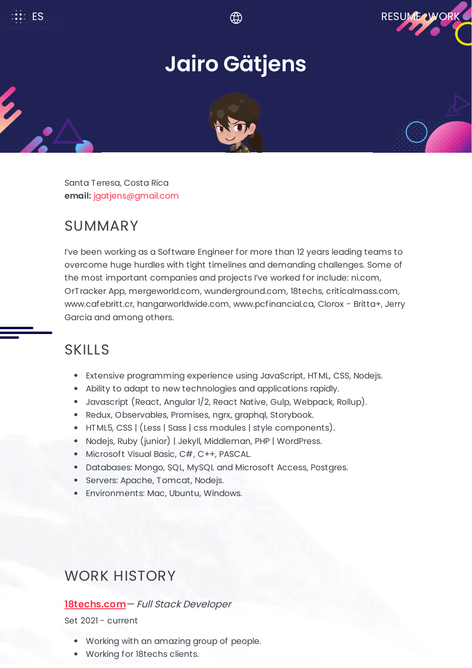

# **Jairo Gätjens**



Santa Teresa, Costa Rica **email:** [jgatjens@gmail.com](mailto:%7B%7Bemail%7D%7D)

# SUMMARY

I've been working as a Software Engineer for more than 12 years leading teams to overcome huge hurdles with tight timelines and demanding challenges. Some of the most important companies and projects I've worked for include: ni.com, OrTracker App, mergeworld.com, wunderground.com, 18techs, criticalmass.com, www.cafebritt.cr, hangarworldwide.com, www.pcfinancial.ca, Clorox - Britta+, Jerry Garcia and among others.

## SKILLS

- Extensive programming experience using JavaScript, HTML, CSS, Nodejs.
- Ability to adapt to new technologies and applications rapidly.
- Javascript (React, Angular 1/2, React Native, Gulp, Webpack, Rollup).
- Redux, Observables, Promises, ngrx, graphql, Storybook.
- HTML5, CSS | (Less | Sass | css modules | style components).
- Nodejs, Ruby (junior) | Jekyll, Middleman, PHP | WordPress.
- Microsoft Visual Basic, C#, C++, PASCAL.
- Databases: Mongo, SQL, MySQL and Microsoft Access, Postgres.
- Servers: Apache, Tomcat, Nodejs.
- Environments: Mac, Ubuntu, Windows.

### WORK HISTORY

### **[18techs.com](https://18techs.com/)**— Full Stack Developer

Set 2021 - current

- Working with an amazing group of people.
- Working for 18techs clients.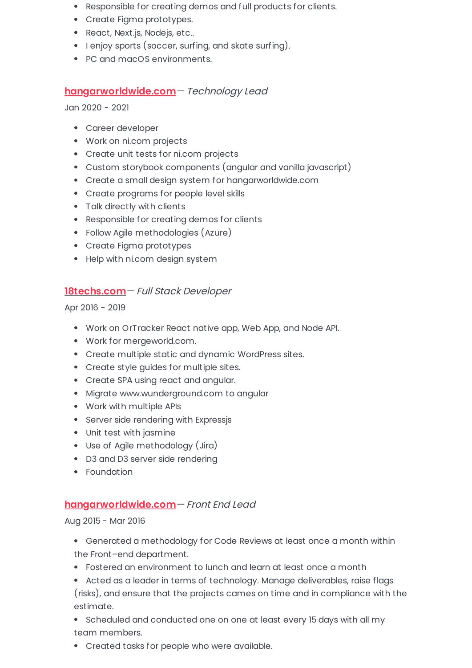- Responsible for creating demos and full products for clients.
- Create Figma prototypes.
- React, Next.js, Nodejs, etc..
- I enjoy sports (soccer, surfing, and skate surfing).
- PC and macOS environments.

#### **[hangarworldwide.com](https://hangarworldwide.com/)**— Technology Lead

Jan 2020 - 2021

- Career developer
- Work on ni.com projects
- Create unit tests for ni.com projects
- Custom storybook components (angular and vanilla javascript)
- Create a small design system for hangarworldwide.com
- Create programs for people level skills
- Talk directly with clients
- Responsible for creating demos for clients
- Follow Agile methodologies (Azure)
- Create Figma prototypes
- Help with ni.com design system

#### **[18techs.com](https://18techs.com/)**— Full Stack Developer

Apr 2016 - 2019

- Work on OrTracker React native app, Web App, and Node API.
- Work for mergeworld.com.
- Create multiple static and dynamic WordPress sites.
- Create style guides for multiple sites.
- Create SPA using react and angular.
- Migrate www.wunderground.com to angular
- Work with multiple APIs
- Server side rendering with Expressjs
- Unit test with jasmine
- Use of Agile methodology (Jira)
- D3 and D3 server side rendering
- Foundation

#### **[hangarworldwide.com](https://hangarworldwide.com/)**— Front End Lead

Aug 2015 - Mar 2016

- Generated a methodology for Code Reviews at least once a month within the Front–end department.
- Fostered an environment to lunch and learn at least once a month
- Acted as a leader in terms of technology. Manage deliverables, raise flags (risks), and ensure that the projects cames on time and in compliance with the estimate.
- Scheduled and conducted one on one at least every 15 days with all my team members.
- Created tasks for people who were available.